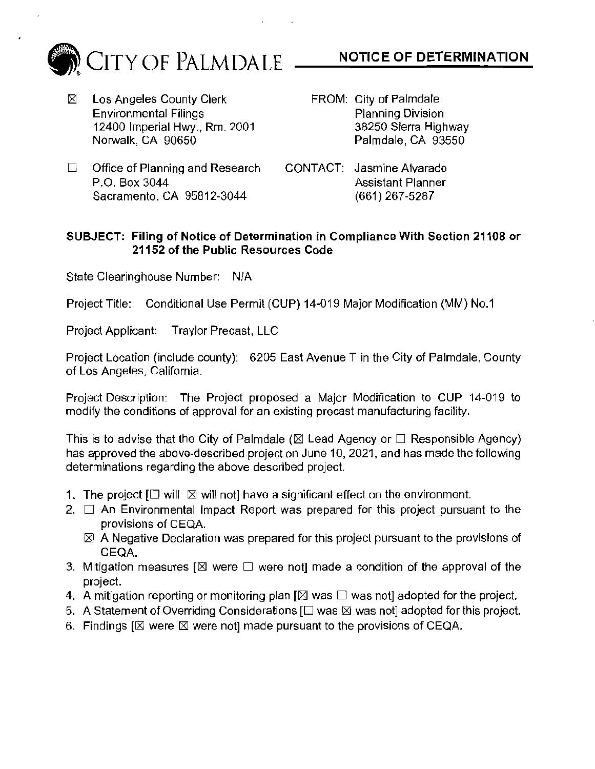

- $\boxtimes$  Los Angeles County Clerk Environmental Filings 12400 Imperial Hwy., Rm. 2001 Norwalk, CA 90650
- NOTICE OF DETERMINATION
- FROM: City of Palmdale Planning Division 38250 Sierra Highway Palmdale, CA 93550
- $\Box$  Office of Planning and Research P.O. Box 3044 Sacramento, CA 95812-3044
- CONTACT: Jasmine Alvarado Assistant Planner (661) 267-5287

## SUBJECT: Filing of Notice of Determination in Compliance With Section 21108 or 21152 of the Public Resources Code

State Clearinghouse Number: N/A

Project Title: Conditional Use Permit (CUP) 14-019 Major Modification (MM) No.1

Project Applicant: Traylor Precast, LLC

Project Location (include county): 6205 East Avenue T in the City of Palmdale, County of Los Angeles, California.

Project Description: The Project proposed a Major Modification to CUP 14-019 to modify the conditions of approval for an existing precast manufacturing facility.

This is to advise that the City of Palmdale ( $\boxtimes$  Lead Agency or  $\Box$  Responsible Agency) has approved the above-described project on June 10, 2021, and has made the following determinations regarding the above described project.

- 1. The project  $I \square$  will  $\boxtimes$  will not] have a significant effect on the environment.
- 2.  $\Box$  An Environmental Impact Report was prepared for this project pursuant to the provisions of CEQA.
	- $\boxtimes$  A Negative Declaration was prepared for this project pursuant to the provisions of CEQA.
- 3. Mitigation measures  $\boxtimes$  were  $\Box$  were not] made a condition of the approval of the project.
- 4. A mitigation reporting or monitoring plan  $\boxtimes$  was  $\square$  was not] adopted for the project.
- 5. A Statement of Overriding Considerations  $[\Box$  was  $\boxtimes$  was not] adopted for this project.
- 6. Findings  $[ $\boxtimes$  were  $\boxtimes$  were not] made pursuit to the provisions of CEQA.$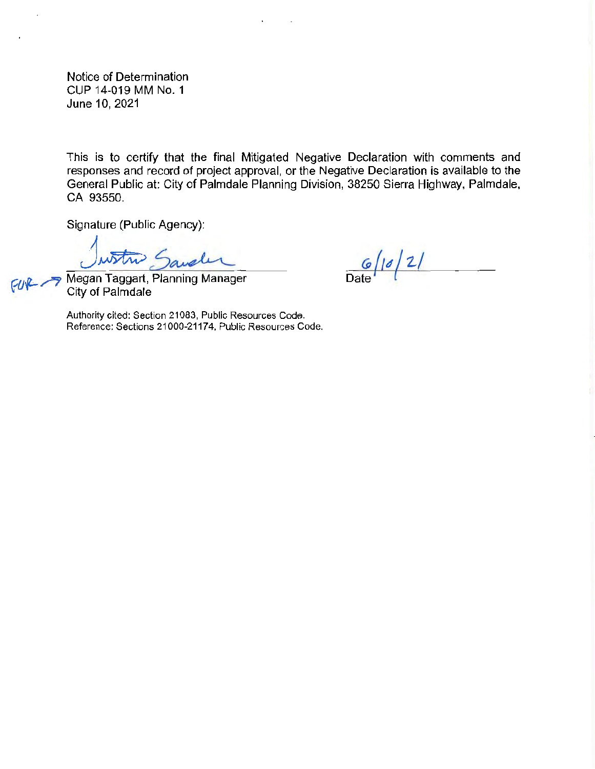Notice of Determination CUP 14-019 MM No. 1 June 10, 2021

This is to certify that the final Mitigated Negative Declaration with comments and responses and record of project approval, or the Negative Declaration is available to the General Public at: City of Palmdale Planning Division, 38250 Sierra Highway, Palmdale, CA 93550.

Signature (Public Agency):

Justin Saveler

 $\frac{G}{\text{Date}}$  /  $\frac{2}{\sqrt{2}}$ 

City of Palmdale

Authority cited: Section 21083, Public Resources Code. Reference: Sections 21000-21174, Public Resources Code.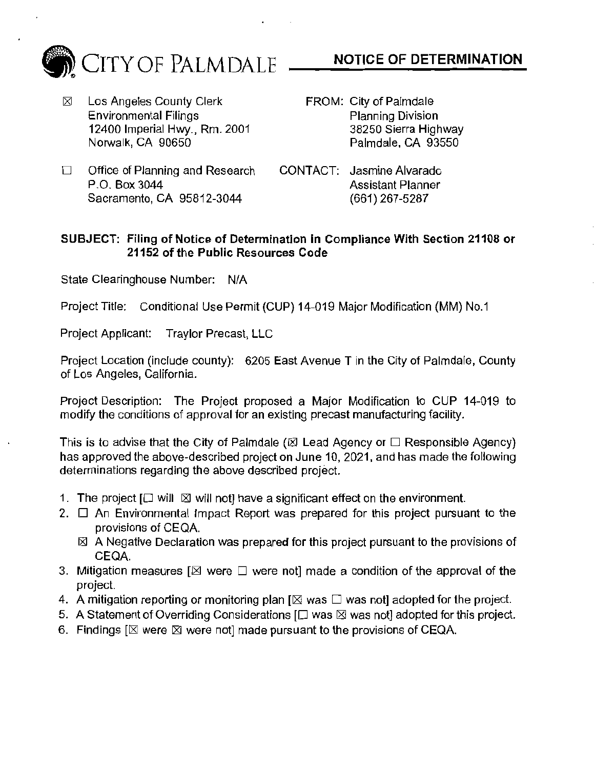

 $\boxtimes$  Los Angeles County Clerk Environmental Filings 12400 Imperial Hwy., Rm. 2001 Norwalk, CA 90650

- NOTICE OF DETERMINATION
- FROM: City of Palmdale Planning Division 38250 Sierra Highway Palmdale, CA 93550
- $\Box$  Office of Planning and Research P.O. Box 3044 Sacramento, CA 95812-3044
- CONTACT: Jasmine Alvarado Assistant Planner (661) 267-5287

## SUBJECT: Filing of Notice of Determination in Compliance With Section 21108 or 21152 of the Public Resources Code

State Clearinghouse Number: N/A

Project Title: Conditional Use Permit (CUP) 14-019 Major Modification (MM) No.1

Project Applicant: Traylor Precast, LLC

Project Location (include county): 6205 East Avenue T in the City of Palmdale, County of Los Angeles, California.

Project Description: The Project proposed a Major Modification to CUP 14-019 to modify the conditions of approval for an existing precast manufacturing facility.

This is to advise that the City of Palmdale ( $\boxtimes$  Lead Agency or  $\square$  Responsible Agency) has approved the above-described project on June 10, 2021, and has made the following determinations regarding the above described project.

- 1. The project  $[\Box \text{ will } \boxtimes \text{ will not}]$  have a significant effect on the environment.
- 2.  $\Box$  An Environmental impact Report was prepared for this project pursuant to the provisions of CEQA.
	- $\boxtimes$  A Negative Declaration was prepared for this project pursuant to the provisions of CEQA.
- 3. Mitigation measures  $\boxtimes$  were  $\Box$  were not] made a condition of the approval of the project.
- 4. A mitigation reporting or monitoring plan [ $\boxtimes$  was  $\Box$  was not] adopted for the project.
- 5. A Statement of Overriding Considerations  $[\Box$  was  $\boxtimes$  was not] adopted for this project.
- 6. Findings  $[\boxtimes]$  were  $[\boxtimes]$  were not] made pursuant to the provisions of CEQA.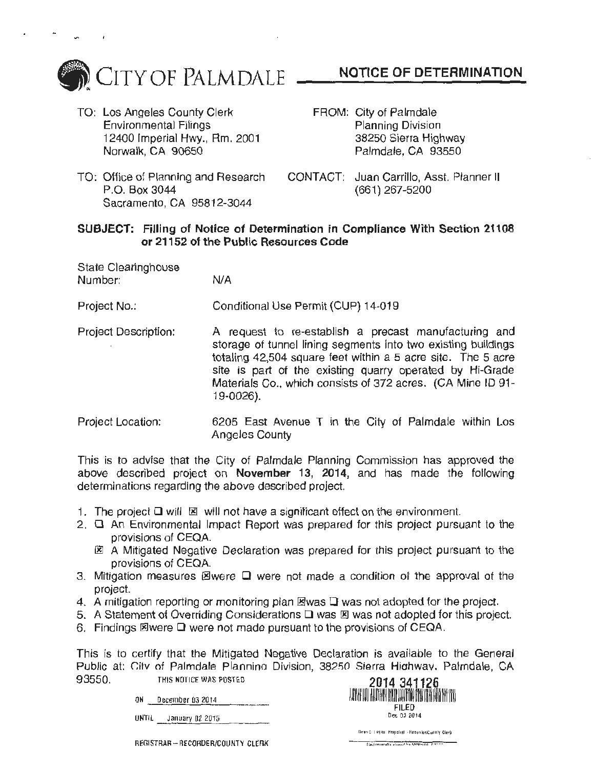

- TO: Los Angeles County Clerk Environmental Filings 12400 lmperlal Hwy., Rm. 2001 Norwalk, CA 90650
- P.O. Box 3044 Sacramento, CA 95812-3044
- NOTICE OF DETERMINATION
- FROM: City of Palmdale Planning Division 38250 Sierra Highway Palmdale, CA 93550
- TO: Office of Planning and Research CONTACT: Juan Carrillo, Asst. Planner II (661) 267-5200

## SUBJECT: Filling of Notice of Determination in Compliance With Section 21108 or 21152 of the Public Resources Code

| State Clearinghouse |     |
|---------------------|-----|
| Number:             | N/A |

Project No.: Conditional Use Permit (CUP) 14-019

- Project Description: A request to re-establish a precast manufacturing and storage of tunnel lining segments into two existing buildings totaling 42,504 square feet within a 5 acre site. The 5 acre site is part of the existing quarry operated by Hi-Grade Materials Co., which consists of 372 acres. (CA Mine ID 91- 19-0026).
- Project Location: 6205 East Avenue T in the City of Palmdale within Los Angeles County

This is to advise that the City of Palmdale Planning Commission has approved the above described project on November 13, 2014, and has made the following determinations regarding the above described project.

- 1. The project  $\Box$  will  $\boxtimes$  will not have a significant effect on the environment.
- $2.$   $\Box$  An Environmental Impact Report was prepared for this project pursuant to the provisions of CEQA.
	- 图 A Mitigated Negative Declaration was prepared for this project pursuant to the provisions of CEQA.
- 3. Mitigation measures  $\boxtimes$  were  $\square$  were not made a condition of the approval of the project.
- 4. A mitigation reporting or monitoring plan  $\mathbb{E}$  was  $\Box$  was not adopted for the project.
- 5. A Statement of Overriding Considerations  $\square$  was  $\square$  was not adopted for this project.
- 6. Findings  $\Xi$  were  $\Box$  were not made pursuant to the provisions of CEQA.

This is to certify that the Mitigated Negative Declaration is available to the General Public at: City of Palmdale Plannino Division, 38250 Sierra Highway. Palmdale, CA 93550. THIS NOTICE WAS POSTED **2014 341126** 

ON December 03 2014

UNTIL January 02 2015



REGISTRAR- RECORDER/COUNTY CLERK

Dean C. Legan, Hequated - Hesunler/Cumity Clerk The figure alle alumnable wasterdated and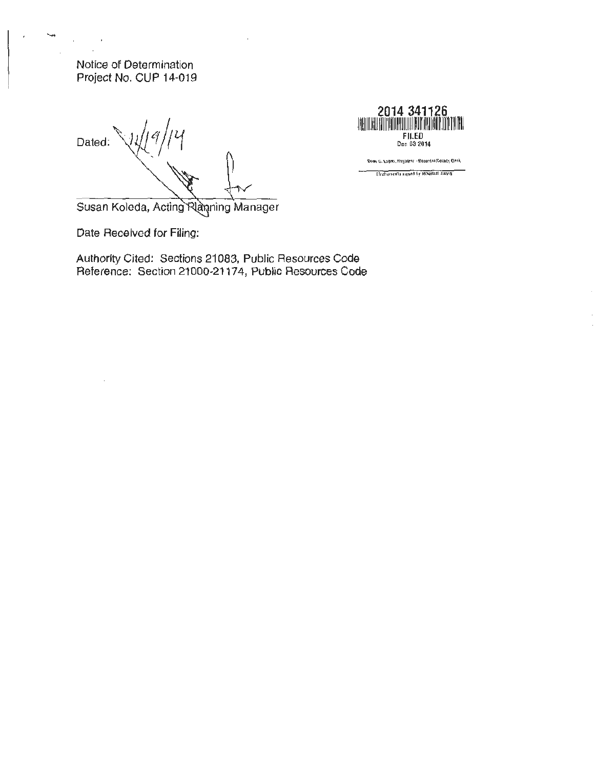Notice of Determination Project No. CUP 14-019

Dated:

**2014 341126**  1111111 ~m111 rn <sup>11111111111</sup> 1 111~ <sup>11</sup> 11~1111 FILED Dec 03 2014

Deen C. Logen, Registrar - Recorder/County Clerk Exections of the MONIGUE DAVIS

Susan Koleda, Acting Riaming Manager

Date Received for Filing:

Authority Cited: Sections 21083, Public Resources Code Reference: Section 21000-21174, Public Resources Code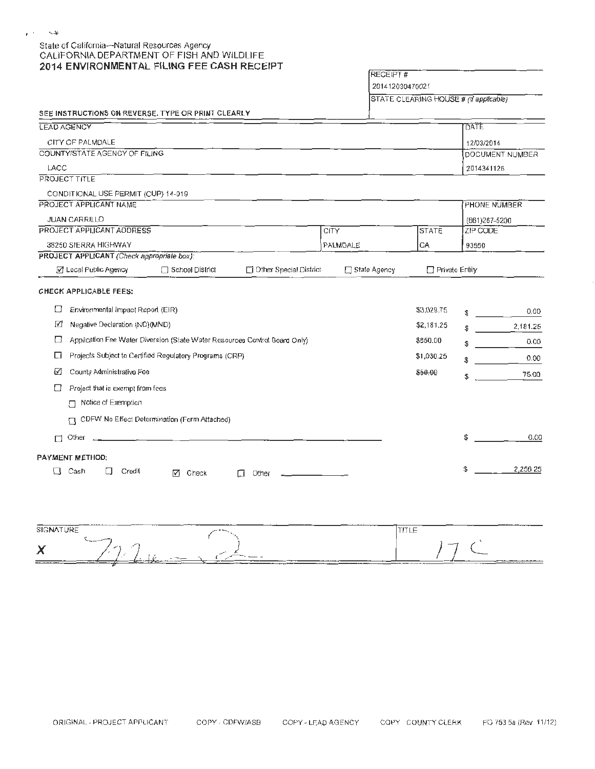## State of California- Natural Resources Agency CALIFORNIA DEPARTMENT OF FISH AND WILDLIFE **2014 ENVIRONMENTAL FILING FEE CASH RECEIPT**

RECEIPT#

201412030470021

STATE CLEARING HOUSE # (If applicable)

|  | SEE INSTRUCTIONS ON REVERSE, TYPE OR PRINT CLEARLY |  |
|--|----------------------------------------------------|--|
|  |                                                    |  |

| LEAD AGENCY                                                         |                                                                            |                               |                |                | DATE          |                 |
|---------------------------------------------------------------------|----------------------------------------------------------------------------|-------------------------------|----------------|----------------|---------------|-----------------|
| CITY OF PALMDALE                                                    |                                                                            |                               |                |                | 12/03/2014    |                 |
| COUNTY/STATE AGENCY OF FILING                                       |                                                                            |                               |                |                |               | DOCUMENT NUMBER |
| LACC                                                                |                                                                            |                               |                |                | 2014341126    |                 |
| <b>PROJECT TITLE</b>                                                |                                                                            |                               |                |                |               |                 |
| CONDITIONAL USE PERMIT (CUP) 14-019                                 |                                                                            |                               |                |                |               |                 |
| PROJECT APPLICANT NAME                                              |                                                                            |                               |                |                | PHONE NUMBER  |                 |
| <b>JUAN CARRILLO</b>                                                |                                                                            |                               |                |                | (661)267-5200 |                 |
| PROJECT APPLICANT ADDRESS                                           |                                                                            |                               | <b>CITY</b>    | STATE          | ZIP CODE      |                 |
| 38250 SIERRA HIGHWAY                                                |                                                                            |                               | PALMDALE       | CA             | 93550         |                 |
| PROJECT APPLICANT (Check appropriate box):<br>☑ Local Public Agency | $\Box$ School District                                                     | $\Box$ Other Special District | □ State Agency | Private Entity |               |                 |
|                                                                     |                                                                            |                               |                |                |               |                 |
| <b>CHECK APPLICABLE FEES:</b>                                       |                                                                            |                               |                |                |               |                 |
| □<br>Environmental Impact Report (EIR)                              |                                                                            |                               |                | \$3,029.75     |               | 0.00            |
| ☑<br>Negative Declaration (ND)(MND)                                 |                                                                            |                               |                | \$2,181.25     |               | 2,181.25        |
| □                                                                   | Application Fee Water Diversion (State Water Resources Control Board Only) |                               |                | \$850.00       |               | 0.00            |
| Li                                                                  | Projects Subject to Certified Regulatory Programs (CRP)                    |                               |                | \$1,030.25     |               | 0.00            |
| County Administrative Fee<br>☑                                      |                                                                            |                               |                | \$50.00        | \$            | 75.00           |
| Project that is exempt from fees                                    |                                                                            |                               |                |                |               |                 |
| Notice of Exemption<br>Л                                            |                                                                            |                               |                |                |               |                 |
| П                                                                   | CDFW No Effect Determination (Form Attached)                               |                               |                |                |               |                 |
| Other<br>П                                                          | <u> 1980 - Johann John Stone, mars et al. (</u>                            |                               |                |                | \$            | 0.00            |
|                                                                     |                                                                            |                               |                |                |               |                 |
| PAYMENT METHOD:                                                     |                                                                            |                               |                |                |               |                 |
| Cash<br>Credit<br>ſΙ                                                | ᢊ<br>Check                                                                 | Other                         |                |                | \$            | 2,256 25        |
|                                                                     |                                                                            |                               |                |                |               |                 |

| $\overline{\phantom{a}}$<br>-----<br>SIGNATURE       | ----                                       | ____<br>-----<br>___<br>later um<br>$\cdots$                                      |  |
|------------------------------------------------------|--------------------------------------------|-----------------------------------------------------------------------------------|--|
| ``~~<br>$-1$<br>A<br><b>The Communication</b><br>___ | $-$<br>$\overline{\phantom{a}}$<br>$-19.0$ | ---<br><b><i><u>Program and Construction and Construction</u></i></b><br>________ |  |